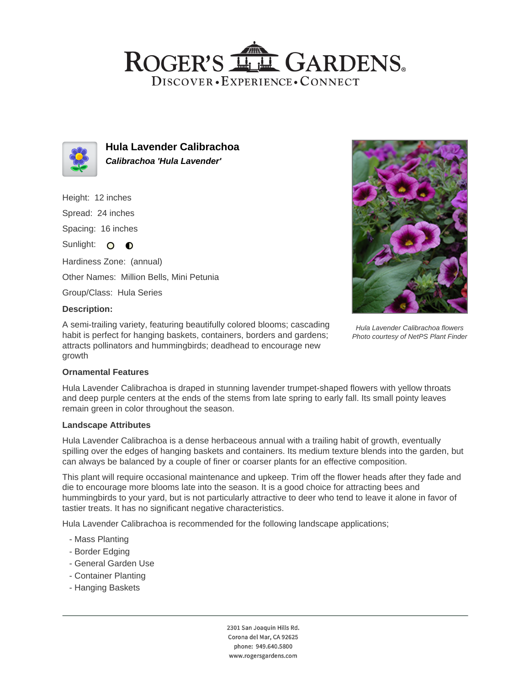## ROGER'S LLE GARDENS. DISCOVER · EXPERIENCE · CONNECT



**Hula Lavender Calibrachoa Calibrachoa 'Hula Lavender'**

Height: 12 inches

Spread: 24 inches

Spacing: 16 inches

Sunlight: O O

Hardiness Zone: (annual) Other Names: Million Bells, Mini Petunia

Group/Class: Hula Series

### **Description:**

A semi-trailing variety, featuring beautifully colored blooms; cascading habit is perfect for hanging baskets, containers, borders and gardens; attracts pollinators and hummingbirds; deadhead to encourage new growth



Hula Lavender Calibrachoa flowers Photo courtesy of NetPS Plant Finder

#### **Ornamental Features**

Hula Lavender Calibrachoa is draped in stunning lavender trumpet-shaped flowers with yellow throats and deep purple centers at the ends of the stems from late spring to early fall. Its small pointy leaves remain green in color throughout the season.

#### **Landscape Attributes**

Hula Lavender Calibrachoa is a dense herbaceous annual with a trailing habit of growth, eventually spilling over the edges of hanging baskets and containers. Its medium texture blends into the garden, but can always be balanced by a couple of finer or coarser plants for an effective composition.

This plant will require occasional maintenance and upkeep. Trim off the flower heads after they fade and die to encourage more blooms late into the season. It is a good choice for attracting bees and hummingbirds to your yard, but is not particularly attractive to deer who tend to leave it alone in favor of tastier treats. It has no significant negative characteristics.

Hula Lavender Calibrachoa is recommended for the following landscape applications;

- Mass Planting
- Border Edging
- General Garden Use
- Container Planting
- Hanging Baskets

2301 San Joaquin Hills Rd. Corona del Mar, CA 92625 phone: 949.640.5800 www.rogersgardens.com